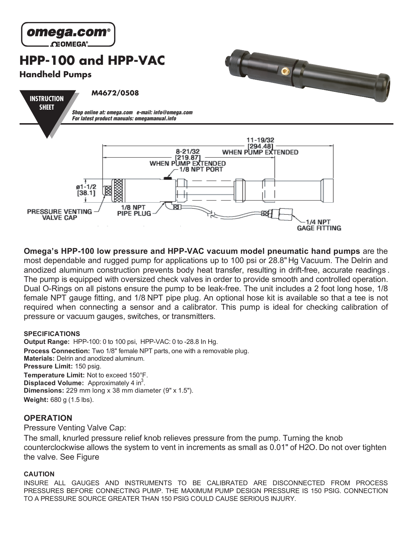

**Omega's HPP-100 low pressure and HPP-VAC vacuum model pneumatic hand pumps** are the most dependable and rugged pump for applications up to 100 psi or 28.8" Hg Vacuum. The Delrin and anodized aluminum construction prevents body heat transfer, resulting in drift-free, accurate readings . The pump is equipped with oversized check valves in order to provide smooth and controlled operation. Dual O-Rings on all pistons ensure the pump to be leak-free. The unit includes a 2 foot long hose, 1/8 female NPT gauge fitting, and 1/8 NPT pipe plug. An optional hose kit is available so that a tee is not required when connecting a sensor and a calibrator. This pump is ideal for checking calibration of pressure or vacuum gauges, switches, or transmitters.

#### **SPECIFICATIONS**

**Output Range:** HPP-100: 0 to 100 psi, HPP-VAC: 0 to -28.8 In Hg. Process Connection: Two 1/8" female NPT parts, one with a removable plug. **Materials:** Delrin and anodized aluminum. **Pressure Limit:** 150 psig. **Temperature Limit:** Not to exceed 150°F. **Displaced Volume:** Approximately 4 in<sup>3</sup>. **Dimensions:** 229 mm long x 38 mm diameter (9" x 1.5"). **Weight:** 680 g (1.5 lbs).

## **OPERATION**

Pressure Venting Valve Cap:

The small, knurled pressure relief knob relieves pressure from the pump. Turning the knob counterclockwise allows the system to vent in increments as small as 0.01" of H2O. Do not over tighten the valve. See Figure

### **CAUTION**

INSURE ALL GAUGES AND INSTRUMENTS TO BE CALIBRATED ARE DISCONNECTED FROM PROCESS PRESSURES BEFORE CONNECTING PUMP. THE MAXIMUM PUMP DESIGN PRESSURE IS 150 PSIG. CONNECTION TO A PRESSURE SOURCE GREATER THAN 150 PSIG COULD CAUSE SERIOUS INJURY.